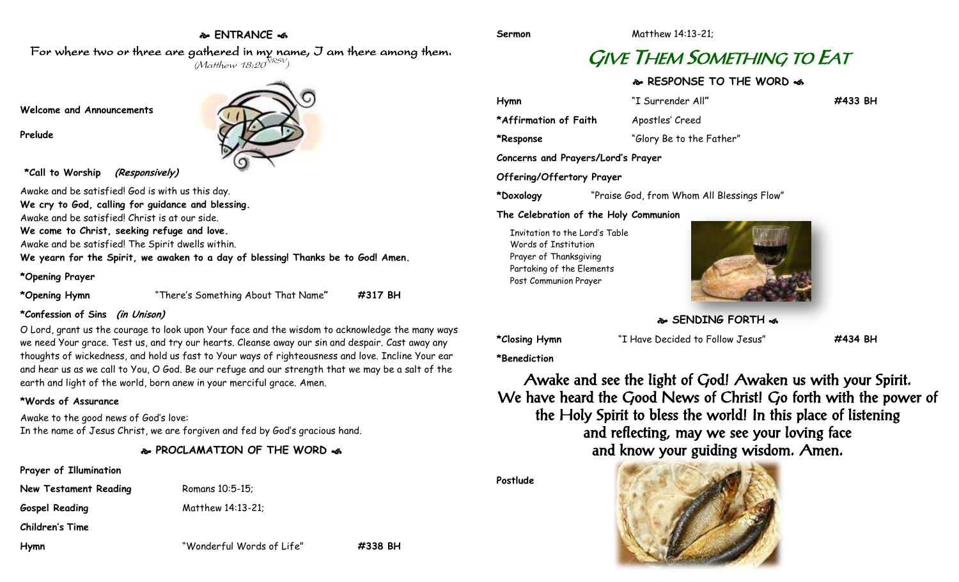# **ENTRANCE**

**Sermon** Matthew 14:13-21;

# GIVE THEM SOMETHING TO EAT

## **RESPONSE TO THE WORD**  $\approx$

| Hymn                               | "I Surrender All"                          | #433 BH |
|------------------------------------|--------------------------------------------|---------|
| *Affirmation of Faith              | Apostles' Creed                            |         |
| *Response                          | "Glory Be to the Father"                   |         |
| Concerns and Prayers/Lord's Prayer |                                            |         |
| Offering/Offertory Prayer          |                                            |         |
| *Doxology                          | "Praise God, from Whom All Blessings Flow" |         |

**The Celebration of the Holy Communion**

Invitation to the Lord's Table Words of Institution Prayer of Thanksgiving Partaking of the Elements Post Communion Prayer



**SENDING FORTH**  $\approx$ 

**\*Closing Hymn** "I Have Decided to Follow Jesus" **#434 BH**

**\*Benediction**

Awake and see the light of God! Awaken us with your Spirit. We have heard the Good News of Christ! Go forth with the power of the Holy Spirit to bless the world! In this place of listening and reflecting, may we see your loving face and know your guiding wisdom. Amen.



For where two or three are gathered in my name, I am there among them.  $(M$ atthew 18:20 $^{NRSV})$ 

#### **Welcome and Announcements**

**Prelude**



**\*Call to Worship (Responsively)**

Awake and be satisfied! God is with us this day. **We cry to God, calling for guidance and blessing.**

Awake and be satisfied! Christ is at our side.

**We come to Christ, seeking refuge and love.**

Awake and be satisfied! The Spirit dwells within.

**We yearn for the Spirit, we awaken to a day of blessing! Thanks be to God! Amen.**

#### **\*Opening Prayer**

**\*Opening Hymn** "There's Something About That Name**" #317 BH**

### **\*Confession of Sins (in Unison)**

O Lord, grant us the courage to look upon Your face and the wisdom to acknowledge the many ways we need Your grace. Test us, and try our hearts. Cleanse away our sin and despair. Cast away any thoughts of wickedness, and hold us fast to Your ways of righteousness and love. Incline Your ear and hear us as we call to You, O God. Be our refuge and our strength that we may be a salt of the earth and light of the world, born anew in your merciful grace. Amen.

### **\*Words of Assurance**

Awake to the good news of God's love: In the name of Jesus Christ, we are forgiven and fed by God's gracious hand.

**PROCLAMATION OF THE WORD** 

- **Prayer of Illumination**
- **New Testament Reading Romans 10:5-15;**

Gospel Reading Matthew 14:13-21;

**Children's Time**



**Postlude**